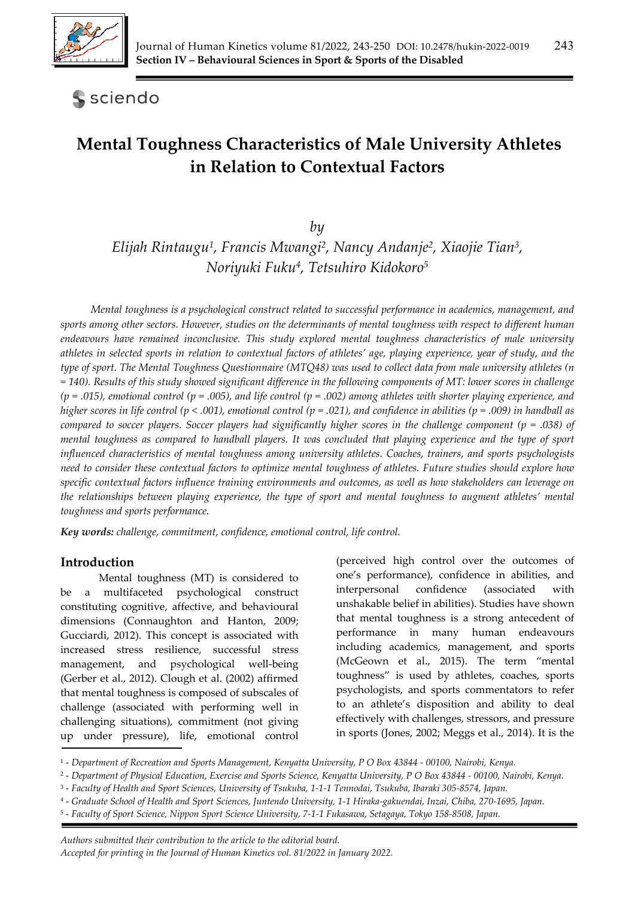

# **S** sciendo

# **Mental Toughness Characteristics of Male University Athletes in Relation to Contextual Factors**

*by* 

*Elijah Rintaugu1, Francis Mwangi2, Nancy Andanje2, Xiaojie Tian3, Noriyuki Fuku4, Tetsuhiro Kidokoro5*

*Mental toughness is a psychological construct related to successful performance in academics, management, and sports among other sectors. However, studies on the determinants of mental toughness with respect to different human endeavours have remained inconclusive. This study explored mental toughness characteristics of male university athletes in selected sports in relation to contextual factors of athletes' age, playing experience, year of study, and the type of sport. The Mental Toughness Questionnaire (MTQ48) was used to collect data from male university athletes (n = 140). Results of this study showed significant difference in the following components of MT: lower scores in challenge (p = .015), emotional control (p = .005), and life control (p = .002) among athletes with shorter playing experience, and higher scores in life control (p < .001), emotional control (p = .021), and confidence in abilities (p = .009) in handball as compared to soccer players. Soccer players had significantly higher scores in the challenge component (p = .038) of mental toughness as compared to handball players. It was concluded that playing experience and the type of sport influenced characteristics of mental toughness among university athletes. Coaches, trainers, and sports psychologists need to consider these contextual factors to optimize mental toughness of athletes. Future studies should explore how specific contextual factors influence training environments and outcomes, as well as how stakeholders can leverage on the relationships between playing experience, the type of sport and mental toughness to augment athletes' mental toughness and sports performance.* 

*Key words: challenge, commitment, confidence, emotional control, life control.*

## **Introduction**

Mental toughness (MT) is considered to be a multifaceted psychological construct constituting cognitive, affective, and behavioural dimensions (Connaughton and Hanton, 2009; Gucciardi, 2012). This concept is associated with increased stress resilience, successful stress management, and psychological well-being (Gerber et al., 2012). Clough et al. (2002) affirmed that mental toughness is composed of subscales of challenge (associated with performing well in challenging situations), commitment (not giving up under pressure), life, emotional control (perceived high control over the outcomes of one's performance), confidence in abilities, and interpersonal confidence (associated with unshakable belief in abilities). Studies have shown that mental toughness is a strong antecedent of performance in many human endeavours including academics, management, and sports (McGeown et al., 2015). The term "mental toughness" is used by athletes, coaches, sports psychologists, and sports commentators to refer to an athlete's disposition and ability to deal effectively with challenges, stressors, and pressure in sports (Jones, 2002; Meggs et al., 2014). It is the

5 - *Faculty of Sport Science, Nippon Sport Science University, 7-1-1 Fukasawa, Setagaya, Tokyo 158-8508, Japan.*

*Authors submitted their contribution to the article to the editorial board. Accepted for printing in the Journal of Human Kinetics vol. 81/2022 in January 2022.* 

<sup>1 -</sup> *Department of Recreation and Sports Management, Kenyatta University, P O Box 43844 - 00100, Nairobi, Kenya.*

<sup>2 -</sup> *Department of Physical Education, Exercise and Sports Science, Kenyatta University, P O Box 43844 - 00100, Nairobi, Kenya.* 

<sup>3 -</sup> *Faculty of Health and Sport Sciences, University of Tsukuba, 1-1-1 Tennodai, Tsukuba, Ibaraki 305-8574, Japan.*

<sup>4 -</sup> *Graduate School of Health and Sport Sciences, Juntendo University, 1-1 Hiraka-gakuendai, Inzai, Chiba, 270-1695, Japan.*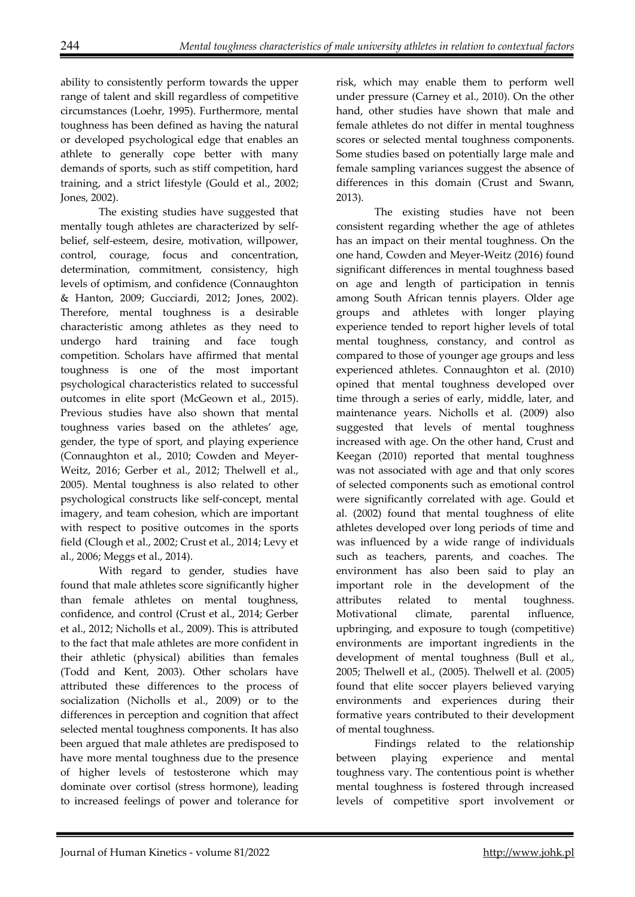ability to consistently perform towards the upper range of talent and skill regardless of competitive circumstances (Loehr, 1995). Furthermore, mental toughness has been defined as having the natural or developed psychological edge that enables an athlete to generally cope better with many demands of sports, such as stiff competition, hard training, and a strict lifestyle (Gould et al., 2002; Jones, 2002).

The existing studies have suggested that mentally tough athletes are characterized by selfbelief, self-esteem, desire, motivation, willpower, control, courage, focus and concentration, determination, commitment, consistency, high levels of optimism, and confidence (Connaughton & Hanton, 2009; Gucciardi, 2012; Jones, 2002). Therefore, mental toughness is a desirable characteristic among athletes as they need to undergo hard training and face tough competition. Scholars have affirmed that mental toughness is one of the most important psychological characteristics related to successful outcomes in elite sport (McGeown et al., 2015). Previous studies have also shown that mental toughness varies based on the athletes' age, gender, the type of sport, and playing experience (Connaughton et al., 2010; Cowden and Meyer-Weitz, 2016; Gerber et al., 2012; Thelwell et al., 2005). Mental toughness is also related to other psychological constructs like self-concept, mental imagery, and team cohesion, which are important with respect to positive outcomes in the sports field (Clough et al., 2002; Crust et al., 2014; Levy et al., 2006; Meggs et al., 2014).

With regard to gender, studies have found that male athletes score significantly higher than female athletes on mental toughness, confidence, and control (Crust et al., 2014; Gerber et al., 2012; Nicholls et al., 2009). This is attributed to the fact that male athletes are more confident in their athletic (physical) abilities than females (Todd and Kent, 2003). Other scholars have attributed these differences to the process of socialization (Nicholls et al., 2009) or to the differences in perception and cognition that affect selected mental toughness components. It has also been argued that male athletes are predisposed to have more mental toughness due to the presence of higher levels of testosterone which may dominate over cortisol (stress hormone), leading to increased feelings of power and tolerance for

risk, which may enable them to perform well under pressure (Carney et al., 2010). On the other hand, other studies have shown that male and female athletes do not differ in mental toughness scores or selected mental toughness components. Some studies based on potentially large male and female sampling variances suggest the absence of differences in this domain (Crust and Swann, 2013).

The existing studies have not been consistent regarding whether the age of athletes has an impact on their mental toughness. On the one hand, Cowden and Meyer-Weitz (2016) found significant differences in mental toughness based on age and length of participation in tennis among South African tennis players. Older age groups and athletes with longer playing experience tended to report higher levels of total mental toughness, constancy, and control as compared to those of younger age groups and less experienced athletes. Connaughton et al. (2010) opined that mental toughness developed over time through a series of early, middle, later, and maintenance years. Nicholls et al. (2009) also suggested that levels of mental toughness increased with age. On the other hand, Crust and Keegan (2010) reported that mental toughness was not associated with age and that only scores of selected components such as emotional control were significantly correlated with age. Gould et al. (2002) found that mental toughness of elite athletes developed over long periods of time and was influenced by a wide range of individuals such as teachers, parents, and coaches. The environment has also been said to play an important role in the development of the attributes related to mental toughness. Motivational climate, parental influence, upbringing, and exposure to tough (competitive) environments are important ingredients in the development of mental toughness (Bull et al., 2005; Thelwell et al., (2005). Thelwell et al. (2005) found that elite soccer players believed varying environments and experiences during their formative years contributed to their development of mental toughness.

Findings related to the relationship between playing experience and mental toughness vary. The contentious point is whether mental toughness is fostered through increased levels of competitive sport involvement or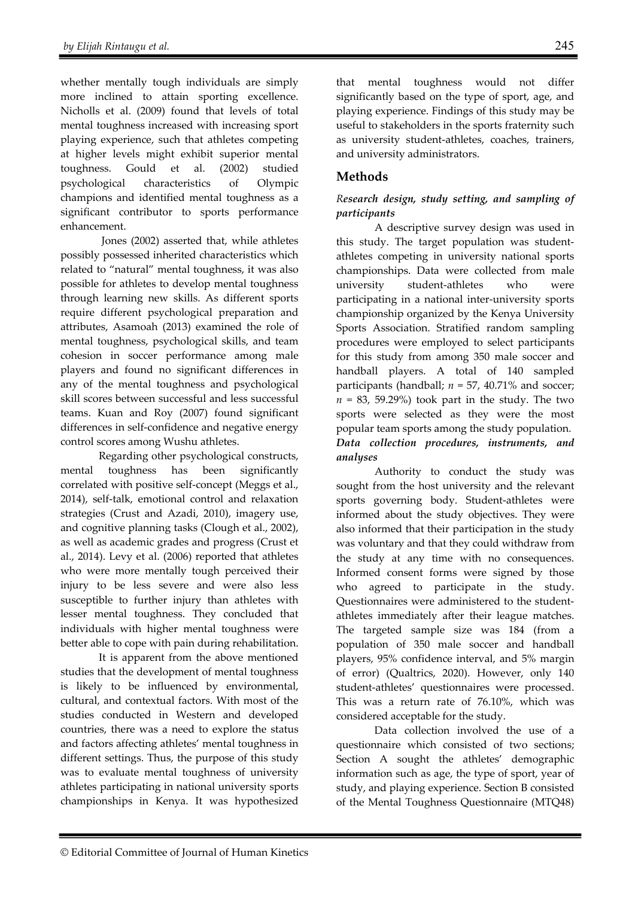whether mentally tough individuals are simply more inclined to attain sporting excellence. Nicholls et al. (2009) found that levels of total mental toughness increased with increasing sport playing experience, such that athletes competing at higher levels might exhibit superior mental toughness. Gould et al. (2002) studied psychological characteristics of Olympic champions and identified mental toughness as a significant contributor to sports performance enhancement.

 Jones (2002) asserted that, while athletes possibly possessed inherited characteristics which related to "natural" mental toughness, it was also possible for athletes to develop mental toughness through learning new skills. As different sports require different psychological preparation and attributes, Asamoah (2013) examined the role of mental toughness, psychological skills, and team cohesion in soccer performance among male players and found no significant differences in any of the mental toughness and psychological skill scores between successful and less successful teams. Kuan and Roy (2007) found significant differences in self-confidence and negative energy control scores among Wushu athletes.

Regarding other psychological constructs, mental toughness has been significantly correlated with positive self-concept (Meggs et al., 2014), self-talk, emotional control and relaxation strategies (Crust and Azadi, 2010), imagery use, and cognitive planning tasks (Clough et al., 2002), as well as academic grades and progress (Crust et al., 2014). Levy et al. (2006) reported that athletes who were more mentally tough perceived their injury to be less severe and were also less susceptible to further injury than athletes with lesser mental toughness. They concluded that individuals with higher mental toughness were better able to cope with pain during rehabilitation.

It is apparent from the above mentioned studies that the development of mental toughness is likely to be influenced by environmental, cultural, and contextual factors. With most of the studies conducted in Western and developed countries, there was a need to explore the status and factors affecting athletes' mental toughness in different settings. Thus, the purpose of this study was to evaluate mental toughness of university athletes participating in national university sports championships in Kenya. It was hypothesized

that mental toughness would not differ significantly based on the type of sport, age, and playing experience. Findings of this study may be useful to stakeholders in the sports fraternity such as university student-athletes, coaches, trainers, and university administrators.

## **Methods**

### *Research design, study setting, and sampling of participants*

A descriptive survey design was used in this study. The target population was studentathletes competing in university national sports championships. Data were collected from male university student-athletes who were participating in a national inter-university sports championship organized by the Kenya University Sports Association. Stratified random sampling procedures were employed to select participants for this study from among 350 male soccer and handball players. A total of 140 sampled participants (handball;  $n = 57$ , 40.71% and soccer;  $n = 83$ , 59.29%) took part in the study. The two sports were selected as they were the most popular team sports among the study population. *Data collection procedures, instruments, and analyses* 

Authority to conduct the study was sought from the host university and the relevant sports governing body. Student-athletes were informed about the study objectives. They were also informed that their participation in the study was voluntary and that they could withdraw from the study at any time with no consequences. Informed consent forms were signed by those who agreed to participate in the study. Questionnaires were administered to the studentathletes immediately after their league matches. The targeted sample size was 184 (from a population of 350 male soccer and handball players, 95% confidence interval, and 5% margin of error) (Qualtrics, 2020). However, only 140 student-athletes' questionnaires were processed. This was a return rate of 76.10%, which was considered acceptable for the study.

Data collection involved the use of a questionnaire which consisted of two sections; Section A sought the athletes' demographic information such as age, the type of sport, year of study, and playing experience. Section B consisted of the Mental Toughness Questionnaire (MTQ48)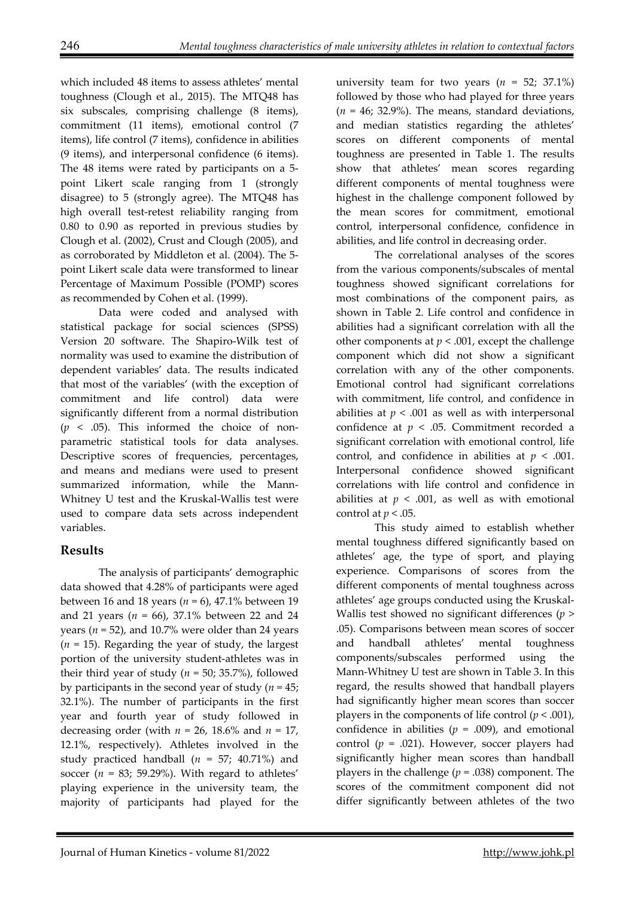which included 48 items to assess athletes' mental toughness (Clough et al., 2015). The MTQ48 has six subscales, comprising challenge (8 items), commitment (11 items), emotional control (7 items), life control (7 items), confidence in abilities (9 items), and interpersonal confidence (6 items). The 48 items were rated by participants on a 5 point Likert scale ranging from 1 (strongly disagree) to 5 (strongly agree). The MTQ48 has high overall test-retest reliability ranging from 0.80 to 0.90 as reported in previous studies by Clough et al. (2002), Crust and Clough (2005), and as corroborated by Middleton et al. (2004). The 5 point Likert scale data were transformed to linear Percentage of Maximum Possible (POMP) scores as recommended by Cohen et al. (1999).

Data were coded and analysed with statistical package for social sciences (SPSS) Version 20 software. The Shapiro-Wilk test of normality was used to examine the distribution of dependent variables' data. The results indicated that most of the variables' (with the exception of commitment and life control) data were significantly different from a normal distribution  $(p \lt 0.05)$ . This informed the choice of nonparametric statistical tools for data analyses. Descriptive scores of frequencies, percentages, and means and medians were used to present summarized information, while the Mann-Whitney U test and the Kruskal-Wallis test were used to compare data sets across independent variables.

# **Results**

The analysis of participants' demographic data showed that 4.28% of participants were aged between 16 and 18 years (*n* = 6), 47.1% between 19 and 21 years (*n* = 66), 37.1% between 22 and 24 years ( $n = 52$ ), and 10.7% were older than 24 years (*n* = 15). Regarding the year of study, the largest portion of the university student-athletes was in their third year of study ( $n = 50$ ; 35.7%), followed by participants in the second year of study (*n* = 45; 32.1%). The number of participants in the first year and fourth year of study followed in decreasing order (with  $n = 26$ , 18.6% and  $n = 17$ , 12.1%, respectively). Athletes involved in the study practiced handball (*n* = 57; 40.71%) and soccer ( $n = 83$ ; 59.29%). With regard to athletes' playing experience in the university team, the majority of participants had played for the

university team for two years  $(n = 52; 37.1\%)$ followed by those who had played for three years  $(n = 46; 32.9\%)$ . The means, standard deviations, and median statistics regarding the athletes' scores on different components of mental toughness are presented in Table 1. The results show that athletes' mean scores regarding different components of mental toughness were highest in the challenge component followed by the mean scores for commitment, emotional control, interpersonal confidence, confidence in abilities, and life control in decreasing order.

The correlational analyses of the scores from the various components/subscales of mental toughness showed significant correlations for most combinations of the component pairs, as shown in Table 2. Life control and confidence in abilities had a significant correlation with all the other components at  $p < .001$ , except the challenge component which did not show a significant correlation with any of the other components. Emotional control had significant correlations with commitment, life control, and confidence in abilities at  $p < .001$  as well as with interpersonal confidence at *p* < .05. Commitment recorded a significant correlation with emotional control, life control, and confidence in abilities at  $p < .001$ . Interpersonal confidence showed significant correlations with life control and confidence in abilities at  $p < .001$ , as well as with emotional control at  $p < .05$ .

This study aimed to establish whether mental toughness differed significantly based on athletes' age, the type of sport, and playing experience. Comparisons of scores from the different components of mental toughness across athletes' age groups conducted using the Kruskal-Wallis test showed no significant differences (*p* > .05). Comparisons between mean scores of soccer and handball athletes' mental toughness components/subscales performed using the Mann-Whitney U test are shown in Table 3. In this regard, the results showed that handball players had significantly higher mean scores than soccer players in the components of life control  $(p < .001)$ , confidence in abilities  $(p = .009)$ , and emotional control ( $p = .021$ ). However, soccer players had significantly higher mean scores than handball players in the challenge  $(p = .038)$  component. The scores of the commitment component did not differ significantly between athletes of the two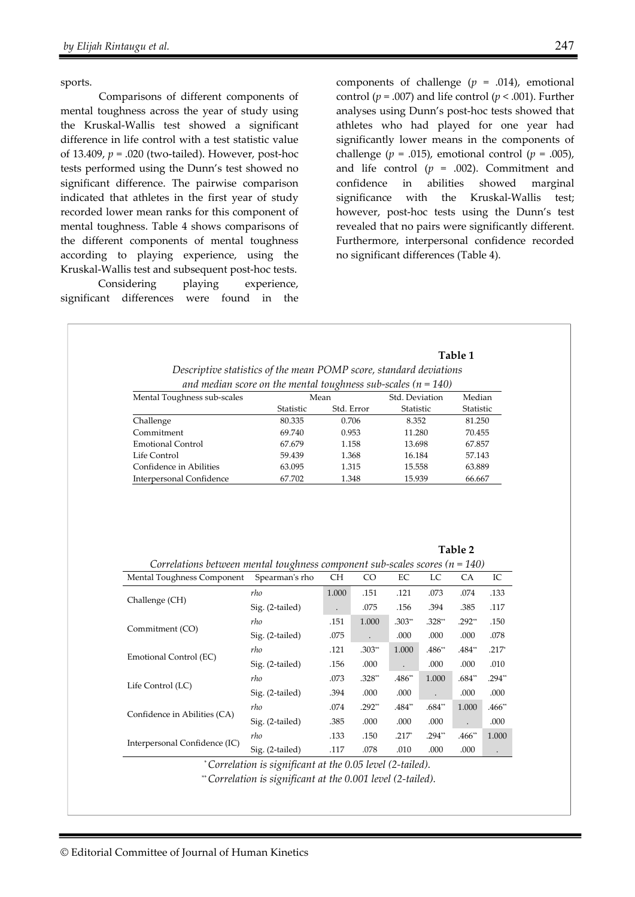sports.

Comparisons of different components of mental toughness across the year of study using the Kruskal-Wallis test showed a significant difference in life control with a test statistic value of 13.409, *p* = .020 (two-tailed). However, post-hoc tests performed using the Dunn's test showed no significant difference. The pairwise comparison indicated that athletes in the first year of study recorded lower mean ranks for this component of mental toughness. Table 4 shows comparisons of the different components of mental toughness according to playing experience, using the Kruskal-Wallis test and subsequent post-hoc tests.

Considering playing experience, significant differences were found in the

components of challenge (*p* = .014), emotional control ( $p = .007$ ) and life control ( $p < .001$ ). Further analyses using Dunn's post-hoc tests showed that athletes who had played for one year had significantly lower means in the components of challenge ( $p = .015$ ), emotional control ( $p = .005$ ), and life control  $(p = .002)$ . Commitment and confidence in abilities showed marginal significance with the Kruskal-Wallis test; however, post-hoc tests using the Dunn's test revealed that no pairs were significantly different. Furthermore, interpersonal confidence recorded no significant differences (Table 4).

|                                                                                 |                                                                    |                                                                           |                      |                             |          | Table 1        |                                                                                               |
|---------------------------------------------------------------------------------|--------------------------------------------------------------------|---------------------------------------------------------------------------|----------------------|-----------------------------|----------|----------------|-----------------------------------------------------------------------------------------------|
|                                                                                 | Descriptive statistics of the mean POMP score, standard deviations |                                                                           |                      |                             |          |                |                                                                                               |
| Mental Toughness sub-scales                                                     |                                                                    | and median score on the mental toughness sub-scales ( $n = 140$ )<br>Mean |                      |                             | Median   |                |                                                                                               |
|                                                                                 | Statistic                                                          | Std. Error                                                                |                      | Std. Deviation<br>Statistic |          | Statistic      |                                                                                               |
| Challenge                                                                       | 80.335                                                             | 0.706                                                                     |                      | 8.352                       |          | 81.250         |                                                                                               |
| Commitment                                                                      | 69.740                                                             | 0.953                                                                     |                      | 11.280                      |          | 70.455         |                                                                                               |
| <b>Emotional Control</b>                                                        | 67.679                                                             | 1.158                                                                     |                      | 13.698                      |          | 67.857         |                                                                                               |
| Life Control                                                                    | 59.439                                                             | 1.368<br>16.184                                                           |                      |                             | 57.143   |                |                                                                                               |
| Confidence in Abilities                                                         | 63.095                                                             | 1.315<br>15.558                                                           |                      |                             | 63.889   |                |                                                                                               |
| Interpersonal Confidence                                                        | 67.702                                                             | 1.348                                                                     |                      | 15.939                      |          | 66.667         |                                                                                               |
| Correlations between mental toughness component sub-scales scores ( $n = 140$ ) |                                                                    |                                                                           |                      |                             |          | Table 2        |                                                                                               |
| Mental Toughness Component                                                      | Spearman's rho                                                     | <b>CH</b>                                                                 | CO                   | $\rm EC$                    | LC       | CA             |                                                                                               |
|                                                                                 | rho                                                                | 1.000                                                                     | .151                 | .121                        | .073     | .074           |                                                                                               |
| Challenge (CH)                                                                  | Sig. (2-tailed)                                                    |                                                                           | .075                 | .156                        | .394     | .385           |                                                                                               |
|                                                                                 | rho                                                                | .151                                                                      | 1.000                | $.303**$                    | .328**   | $.292**$       |                                                                                               |
| Commitment (CO)                                                                 | Sig. (2-tailed)                                                    | .075                                                                      | $\ddot{\phantom{a}}$ | .000                        | .000     | .000           |                                                                                               |
|                                                                                 | rho                                                                | .121                                                                      | $.303**$             | 1.000                       | .486**   | .484**         |                                                                                               |
| Emotional Control (EC)                                                          | Sig. (2-tailed)                                                    | .156                                                                      | .000                 | $\ddot{\phantom{a}}$        | .000     | .000           |                                                                                               |
|                                                                                 | rho                                                                | .073                                                                      | $.328**$             | .486**                      | 1.000    | $.684**$       |                                                                                               |
| Life Control (LC)                                                               | Sig. (2-tailed)                                                    | .394                                                                      | .000                 | .000                        |          | .000           |                                                                                               |
|                                                                                 | rho                                                                | .074                                                                      | $.292**$             | .484**                      | $.684**$ | 1.000          |                                                                                               |
| Confidence in Abilities (CA)                                                    | Sig. (2-tailed)                                                    | .385                                                                      | .000                 | .000                        | .000     | $\overline{a}$ |                                                                                               |
| Interpersonal Confidence (IC)                                                   | rho                                                                | .133                                                                      | .150                 | $.217*$                     | $.294**$ | $.466**$       | 1.000                                                                                         |
|                                                                                 |                                                                    |                                                                           |                      |                             |          |                | IC<br>.133<br>.117<br>.150<br>.078<br>$.217*$<br>.010<br>$.294**$<br>.000<br>$.466**$<br>.000 |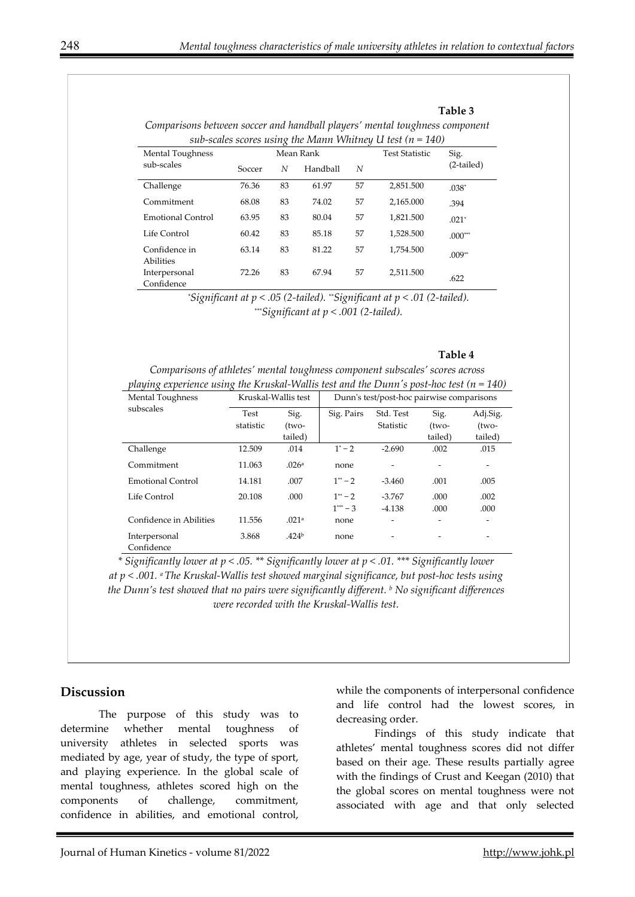| sub-scales scores using the Mann Whitney U test ( $n = 140$ ) |        |    |           |    |                       |            |  |  |
|---------------------------------------------------------------|--------|----|-----------|----|-----------------------|------------|--|--|
| Mental Toughness                                              |        |    | Mean Rank |    | <b>Test Statistic</b> | Sig.       |  |  |
| sub-scales                                                    | Soccer | N  | Handball  | N  |                       | (2-tailed) |  |  |
| Challenge                                                     | 76.36  | 83 | 61.97     | 57 | 2,851.500             | $.038*$    |  |  |
| Commitment                                                    | 68.08  | 83 | 74.02     | 57 | 2,165.000             | .394       |  |  |
| Emotional Control                                             | 63.95  | 83 | 80.04     | 57 | 1.821.500             | $.021*$    |  |  |
| Life Control                                                  | 60.42  | 83 | 85.18     | 57 | 1,528.500             | $.000***$  |  |  |
| Confidence in<br>Abilities                                    | 63.14  | 83 | 81.22     | 57 | 1,754.500             | $.009**$   |  |  |
| Interpersonal<br>Confidence                                   | 72.26  | 83 | 67.94     | 57 | 2,511.500             | .622       |  |  |

*Comparisons between soccer and handball players' mental toughness component* 

*\* Significant at p < .05 (2-tailed). \*\*Significant at p < .01 (2-tailed). \*\*\*Significant at p < .001 (2-tailed).* 

#### **Table 4**

**Table 3** 

| Comparisons of athletes' mental toughness component subscales' scores across                |  |
|---------------------------------------------------------------------------------------------|--|
| playing experience using the Kruskal-Wallis test and the Dunn's post-hoc test ( $n = 140$ ) |  |

| Mental Toughness            |                     | Kruskal-Wallis test | Dunn's test/post-hoc pairwise comparisons |           |         |          |  |  |
|-----------------------------|---------------------|---------------------|-------------------------------------------|-----------|---------|----------|--|--|
| subscales                   | Sig.<br><b>Test</b> |                     | Sig. Pairs                                | Std. Test | Sig.    | Adj.Sig. |  |  |
|                             | statistic           | (two-               |                                           | Statistic | (two-   | (two-    |  |  |
|                             |                     | tailed)             |                                           |           | tailed) | tailed)  |  |  |
| Challenge                   | 12.509              | .014                | $1^* - 2$                                 | $-2.690$  | .002    | .015     |  |  |
| Commitment                  | 11.063              | .026a               | none                                      |           |         | ۰        |  |  |
| Emotional Control           | 14.181              | .007                | $1^{**} - 2$                              | $-3.460$  | .001    | .005     |  |  |
| Life Control                | 20.108              | .000                | $1^{**} - 2$                              | $-3.767$  | .000    | .002     |  |  |
|                             |                     |                     | $1*** - 3$                                | $-4.138$  | .000    | .000     |  |  |
| Confidence in Abilities     | 11.556              | .021a               | none                                      |           |         |          |  |  |
| Interpersonal<br>Confidence | 3.868               | .424 <sup>b</sup>   | none                                      | -         |         | ۰        |  |  |

*\* Significantly lower at p < .05. \*\* Significantly lower at p < .01. \*\*\* Significantly lower at p < .001. a The Kruskal-Wallis test showed marginal significance, but post-hoc tests using the Dunn's test showed that no pairs were significantly different. b No significant differences were recorded with the Kruskal-Wallis test.* 

#### **Discussion**

The purpose of this study was to determine whether mental toughness of university athletes in selected sports was mediated by age, year of study, the type of sport, and playing experience. In the global scale of mental toughness, athletes scored high on the components of challenge, commitment, confidence in abilities, and emotional control,

while the components of interpersonal confidence and life control had the lowest scores, in decreasing order.

Findings of this study indicate that athletes' mental toughness scores did not differ based on their age. These results partially agree with the findings of Crust and Keegan (2010) that the global scores on mental toughness were not associated with age and that only selected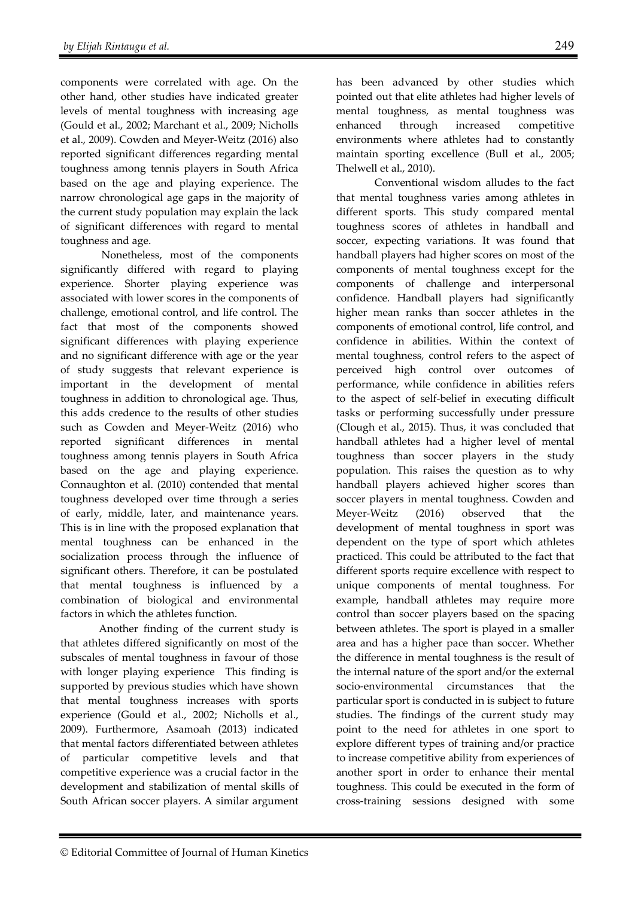components were correlated with age. On the other hand, other studies have indicated greater levels of mental toughness with increasing age (Gould et al., 2002; Marchant et al., 2009; Nicholls et al., 2009). Cowden and Meyer-Weitz (2016) also reported significant differences regarding mental toughness among tennis players in South Africa based on the age and playing experience. The narrow chronological age gaps in the majority of the current study population may explain the lack of significant differences with regard to mental toughness and age.

 Nonetheless, most of the components significantly differed with regard to playing experience. Shorter playing experience was associated with lower scores in the components of challenge, emotional control, and life control. The fact that most of the components showed significant differences with playing experience and no significant difference with age or the year of study suggests that relevant experience is important in the development of mental toughness in addition to chronological age. Thus, this adds credence to the results of other studies such as Cowden and Meyer-Weitz (2016) who reported significant differences in mental toughness among tennis players in South Africa based on the age and playing experience. Connaughton et al. (2010) contended that mental toughness developed over time through a series of early, middle, later, and maintenance years. This is in line with the proposed explanation that mental toughness can be enhanced in the socialization process through the influence of significant others. Therefore, it can be postulated that mental toughness is influenced by a combination of biological and environmental factors in which the athletes function.

Another finding of the current study is that athletes differed significantly on most of the subscales of mental toughness in favour of those with longer playing experience This finding is supported by previous studies which have shown that mental toughness increases with sports experience (Gould et al., 2002; Nicholls et al., 2009). Furthermore, Asamoah (2013) indicated that mental factors differentiated between athletes of particular competitive levels and that competitive experience was a crucial factor in the development and stabilization of mental skills of South African soccer players. A similar argument

has been advanced by other studies which pointed out that elite athletes had higher levels of mental toughness, as mental toughness was enhanced through increased competitive environments where athletes had to constantly maintain sporting excellence (Bull et al., 2005; Thelwell et al., 2010).

Conventional wisdom alludes to the fact that mental toughness varies among athletes in different sports. This study compared mental toughness scores of athletes in handball and soccer, expecting variations. It was found that handball players had higher scores on most of the components of mental toughness except for the components of challenge and interpersonal confidence. Handball players had significantly higher mean ranks than soccer athletes in the components of emotional control, life control, and confidence in abilities. Within the context of mental toughness, control refers to the aspect of perceived high control over outcomes performance, while confidence in abilities refers to the aspect of self-belief in executing difficult tasks or performing successfully under pressure (Clough et al., 2015). Thus, it was concluded that handball athletes had a higher level of mental toughness than soccer players in the study population. This raises the question as to why handball players achieved higher scores than soccer players in mental toughness. Cowden and Meyer-Weitz (2016) observed that the development of mental toughness in sport was dependent on the type of sport which athletes practiced. This could be attributed to the fact that different sports require excellence with respect to unique components of mental toughness. For example, handball athletes may require more control than soccer players based on the spacing between athletes. The sport is played in a smaller area and has a higher pace than soccer. Whether the difference in mental toughness is the result of the internal nature of the sport and/or the external socio-environmental circumstances that the particular sport is conducted in is subject to future studies. The findings of the current study may point to the need for athletes in one sport to explore different types of training and/or practice to increase competitive ability from experiences of another sport in order to enhance their mental toughness. This could be executed in the form of cross-training sessions designed with some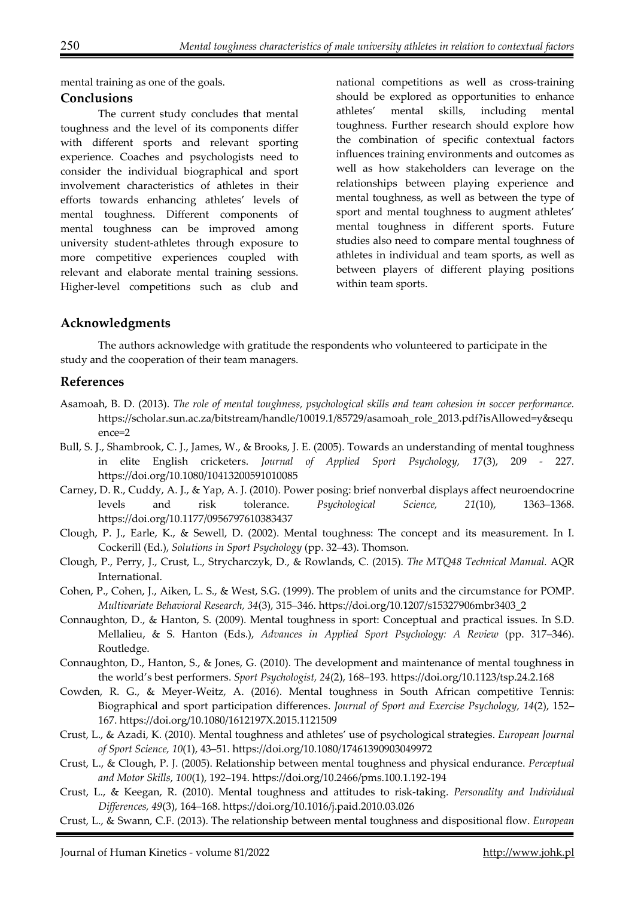mental training as one of the goals.

### **Conclusions**

The current study concludes that mental toughness and the level of its components differ with different sports and relevant sporting experience. Coaches and psychologists need to consider the individual biographical and sport involvement characteristics of athletes in their efforts towards enhancing athletes' levels of mental toughness. Different components of mental toughness can be improved among university student-athletes through exposure to more competitive experiences coupled with relevant and elaborate mental training sessions. Higher-level competitions such as club and

national competitions as well as cross-training should be explored as opportunities to enhance athletes' mental skills, including mental toughness. Further research should explore how the combination of specific contextual factors influences training environments and outcomes as well as how stakeholders can leverage on the relationships between playing experience and mental toughness, as well as between the type of sport and mental toughness to augment athletes' mental toughness in different sports. Future studies also need to compare mental toughness of athletes in individual and team sports, as well as between players of different playing positions within team sports.

## **Acknowledgments**

The authors acknowledge with gratitude the respondents who volunteered to participate in the study and the cooperation of their team managers.

### **References**

- Asamoah, B. D. (2013). *The role of mental toughness, psychological skills and team cohesion in soccer performance.* https://scholar.sun.ac.za/bitstream/handle/10019.1/85729/asamoah\_role\_2013.pdf?isAllowed=y&sequ ence=2
- Bull, S. J., Shambrook, C. J., James, W., & Brooks, J. E. (2005). Towards an understanding of mental toughness in elite English cricketers. *Journal of Applied Sport Psychology, 17*(3), 209 - 227. https://doi.org/10.1080/10413200591010085
- Carney, D. R., Cuddy, A. J., & Yap, A. J. (2010). Power posing: brief nonverbal displays affect neuroendocrine levels and risk tolerance. *Psychological Science, 21*(10), 1363–1368. https://doi.org/10.1177/0956797610383437
- Clough, P. J., Earle, K., & Sewell, D. (2002). Mental toughness: The concept and its measurement. In I. Cockerill (Ed.), *Solutions in Sport Psychology* (pp. 32–43). Thomson.
- Clough, P., Perry, J., Crust, L., Strycharczyk, D., & Rowlands, C. (2015). *The MTQ48 Technical Manual.* AQR International.
- Cohen, P., Cohen, J., Aiken, L. S., & West, S.G. (1999). The problem of units and the circumstance for POMP. *Multivariate Behavioral Research, 34*(3), 315–346. https://doi.org/10.1207/s15327906mbr3403\_2
- Connaughton, D., & Hanton, S. (2009). Mental toughness in sport: Conceptual and practical issues. In S.D. Mellalieu, & S. Hanton (Eds.), *Advances in Applied Sport Psychology: A Review* (pp. 317–346). Routledge.
- Connaughton, D., Hanton, S., & Jones, G. (2010). The development and maintenance of mental toughness in the world's best performers. *Sport Psychologist, 24*(2), 168–193. https://doi.org/10.1123/tsp.24.2.168
- Cowden, R. G., & Meyer-Weitz, A. (2016). Mental toughness in South African competitive Tennis: Biographical and sport participation differences. *Journal of Sport and Exercise Psychology, 14*(2), 152– 167. https://doi.org/10.1080/1612197X.2015.1121509
- Crust, L., & Azadi, K. (2010). Mental toughness and athletes' use of psychological strategies. *European Journal of Sport Science, 10*(1), 43–51. https://doi.org/10.1080/17461390903049972
- Crust, L., & Clough, P. J. (2005). Relationship between mental toughness and physical endurance. *Perceptual and Motor Skills*, *100*(1), 192–194. https://doi.org/10.2466/pms.100.1.192-194
- Crust, L., & Keegan, R. (2010). Mental toughness and attitudes to risk-taking. *Personality and Individual Differences, 49*(3), 164–168. https://doi.org/10.1016/j.paid.2010.03.026
- Crust, L., & Swann, C.F. (2013). The relationship between mental toughness and dispositional flow. *European*